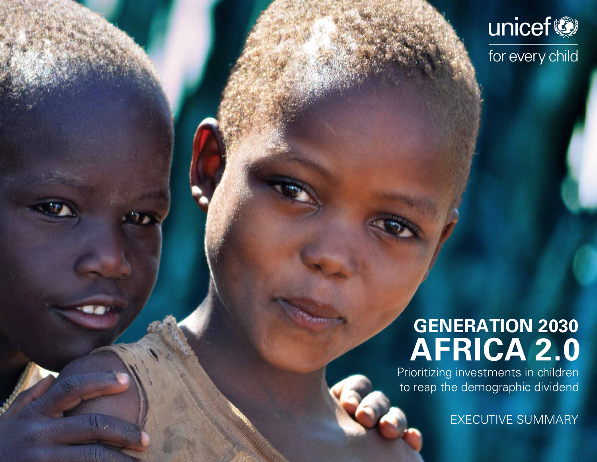

## **AFRICA 2.0 GENERATION 2030**

Prioritizing investments in children to reap the demographic dividend

EXECUTIVE SUMMARY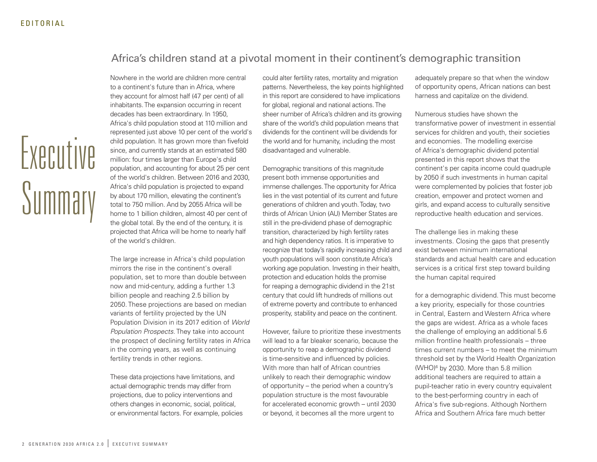### Africa's children stand at a pivotal moment in their continent's demographic transition

Executive Summary

Nowhere in the world are children more central to a continent's future than in Africa, where they account for almost half (47 per cent) of all inhabitants. The expansion occurring in recent decades has been extraordinary. In 1950, Africa's child population stood at 110 million and represented just above 10 per cent of the world's child population. It has grown more than fivefold since, and currently stands at an estimated 580 million: four times larger than Europe's child population, and accounting for about 25 per cent of the world's children. Between 2016 and 2030, Africa's child population is projected to expand by about 170 million, elevating the continent's total to 750 million. And by 2055 Africa will be home to 1 billion children, almost 40 per cent of the global total. By the end of the century, it is projected that Africa will be home to nearly half of the world's children.

The large increase in Africa's child population mirrors the rise in the continent's overall population, set to more than double between now and mid-century, adding a further 1.3 billion people and reaching 2.5 billion by 2050. These projections are based on median variants of fertility projected by the UN Population Division in its 2017 edition of *World Population Prospects*. They take into account the prospect of declining fertility rates in Africa in the coming years, as well as continuing fertility trends in other regions.

These data projections have limitations, and actual demographic trends may differ from projections, due to policy interventions and others changes in economic, social, political, or environmental factors. For example, policies

could alter fertility rates, mortality and migration patterns. Nevertheless, the key points highlighted in this report are considered to have implications for global, regional and national actions. The sheer number of Africa's children and its growing share of the world's child population means that dividends for the continent will be dividends for the world and for humanity, including the most disadvantaged and vulnerable.

Demographic transitions of this magnitude present both immense opportunities and immense challenges. The opportunity for Africa lies in the vast potential of its current and future generations of children and youth. Today, two thirds of African Union (AU) Member States are still in the pre-dividend phase of demographic transition, characterized by high fertility rates and high dependency ratios. It is imperative to recognize that today's rapidly increasing child and youth populations will soon constitute Africa's working age population. Investing in their health, protection and education holds the promise for reaping a demographic dividend in the 21st century that could lift hundreds of millions out of extreme poverty and contribute to enhanced prosperity, stability and peace on the continent.

However, failure to prioritize these investments will lead to a far bleaker scenario, because the opportunity to reap a demographic dividend is time-sensitive and influenced by policies. With more than half of African countries unlikely to reach their demographic window of opportunity – the period when a country's population structure is the most favourable for accelerated economic growth – until 2030 or beyond, it becomes all the more urgent to

adequately prepare so that when the window of opportunity opens, African nations can best harness and capitalize on the dividend.

Numerous studies have shown the transformative power of investment in essential services for children and youth, their societies and economies. The modelling exercise of Africa's demographic dividend potential presented in this report shows that the continent's per capita income could quadruple by 2050 if such investments in human capital were complemented by policies that foster job creation, empower and protect women and girls, and expand access to culturally sensitive reproductive health education and services.

The challenge lies in making these investments. Closing the gaps that presently exist between minimum international standards and actual health care and education services is a critical first step toward building the human capital required

for a demographic dividend. This must become a key priority, especially for those countries in Central, Eastern and Western Africa where the gaps are widest. Africa as a whole faces the challenge of employing an additional 5.6 million frontline health professionals – three times current numbers – to meet the minimum threshold set by the World Health Organization (WHO)6 by 2030. More than 5.8 million additional teachers are required to attain a pupil-teacher ratio in every country equivalent to the best-performing country in each of Africa's five sub-regions. Although Northern Africa and Southern Africa fare much better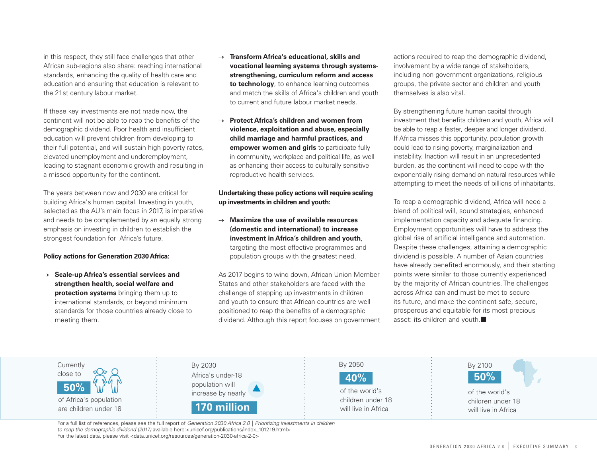in this respect, they still face challenges that other African sub-regions also share: reaching international standards, enhancing the quality of health care and education and ensuring that education is relevant to the 21st century labour market.

If these key investments are not made now, the continent will not be able to reap the benefits of the demographic dividend. Poor health and insufficient education will prevent children from developing to their full potential, and will sustain high poverty rates, elevated unemployment and underemployment, leading to stagnant economic growth and resulting in a missed opportunity for the continent.

The years between now and 2030 are critical for building Africa's human capital. Investing in youth, selected as the AU's main focus in 2017, is imperative and needs to be complemented by an equally strong emphasis on investing in children to establish the strongest foundation for Africa's future.

#### **Policy actions for Generation 2030 Africa:**

→ **Scale-up Africa's essential services and strengthen health, social welfare and protection systems** bringing them up to international standards, or beyond minimum standards for those countries already close to meeting them.

- **Transform Africa's educational, skills and vocational learning systems through systemsstrengthening, curriculum reform and access to technology**, to enhance learning outcomes and match the skills of Africa's children and youth to current and future labour market needs.
- → **Protect Africa's children and women from violence, exploitation and abuse, especially child marriage and harmful practices, and empower women and girls** to participate fully in community, workplace and political life, as well as enhancing their access to culturally sensitive reproductive health services.

#### **Undertaking these policy actions will require scaling up investments in children and youth:**

→ **Maximize the use of available resources (domestic and international) to increase investment in Africa's children and youth**, targeting the most effective programmes and population groups with the greatest need.

As 2017 begins to wind down, African Union Member States and other stakeholders are faced with the challenge of stepping up investments in children and youth to ensure that African countries are well positioned to reap the benefits of a demographic dividend. Although this report focuses on government actions required to reap the demographic dividend, involvement by a wide range of stakeholders, including non-government organizations, religious groups, the private sector and children and youth themselves is also vital.

By strengthening future human capital through investment that benefits children and youth, Africa will be able to reap a faster, deeper and longer dividend. If Africa misses this opportunity, population growth could lead to rising poverty, marginalization and instability. Inaction will result in an unprecedented burden, as the continent will need to cope with the exponentially rising demand on natural resources while attempting to meet the needs of billions of inhabitants.

To reap a demographic dividend, Africa will need a blend of political will, sound strategies, enhanced implementation capacity and adequate financing. Employment opportunities will have to address the global rise of artificial intelligence and automation. Despite these challenges, attaining a demographic dividend is possible. A number of Asian countries have already benefited enormously, and their starting points were similar to those currently experienced by the majority of African countries. The challenges across Africa can and must be met to secure its future, and make the continent safe, secure, prosperous and equitable for its most precious asset: its children and youth. $\blacksquare$ 

| Currently<br>close to<br>u n<br>NU<br>50%<br>of Africa's population<br>are children under 18 | By 2030<br>Africa's under-18<br>population will<br>increase by nearly<br>170 million | By 2050<br>40%<br>of the world's<br>children under 18<br>will live in Africa | By 2100<br>50%<br>of the world's<br>children under 18<br>will live in Africa |
|----------------------------------------------------------------------------------------------|--------------------------------------------------------------------------------------|------------------------------------------------------------------------------|------------------------------------------------------------------------------|
|----------------------------------------------------------------------------------------------|--------------------------------------------------------------------------------------|------------------------------------------------------------------------------|------------------------------------------------------------------------------|

For a full list of references, please see the full report of *Generation 2030 Africa 2.0 | Prioritizing investments in children to reap the demographic dividend (2017)* available here:<unicef.org/publications/index\_101219.html> For the latest data, please visit <data.unicef.org/resources/generation-2030-africa-2-0>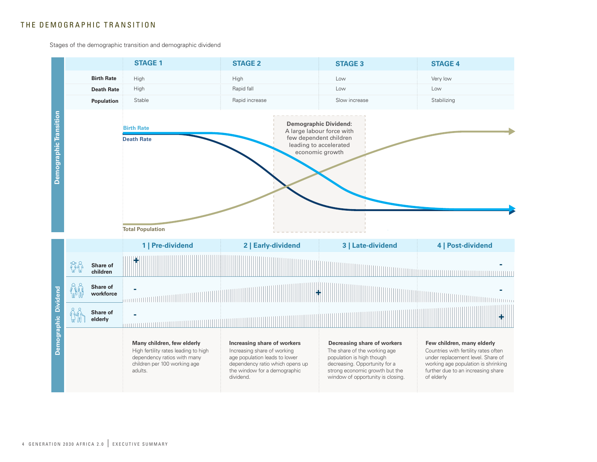#### THE DEMOGRAPHIC TRANSITION

Stages of the demographic transition and demographic dividend

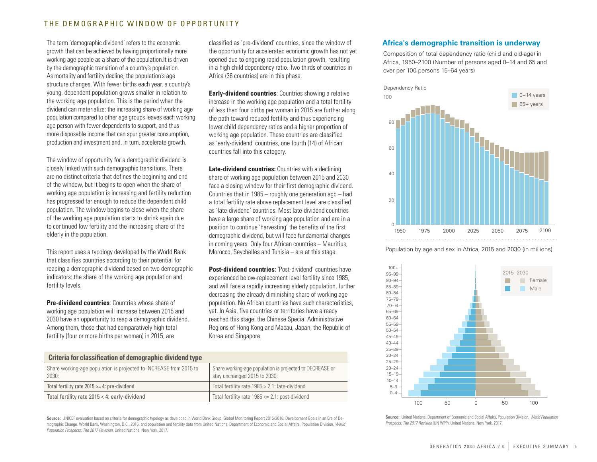#### THE DEMOGRAPHIC WINDOW OF OPPORTUNITY

The term 'demographic dividend' refers to the economic growth that can be achieved by having proportionally more working age people as a share of the population.It is driven by the demographic transition of a country's population. As mortality and fertility decline, the population's age structure changes. With fewer births each year, a country's young, dependent population grows smaller in relation to the working age population. This is the period when the dividend can materialize: the increasing share of working age population compared to other age groups leaves each working age person with fewer dependents to support, and thus more disposable income that can spur greater consumption, production and investment and, in turn, accelerate growth.

The window of opportunity for a demographic dividend is closely linked with such demographic transitions. There are no distinct criteria that defines the beginning and end of the window, but it begins to open when the share of working age population is increasing and fertility reduction has progressed far enough to reduce the dependent child population. The window begins to close when the share of the working age population starts to shrink again due to continued low fertility and the increasing share of the elderly in the population.

This report uses a typology developed by the World Bank that classifies countries according to their potential for reaping a demographic dividend based on two demographic indicators: the share of the working age population and fertility levels.

**Pre-dividend countries**: Countries whose share of working age population will increase between 2015 and 2030 have an opportunity to reap a demographic dividend. Among them, those that had comparatively high total fertility (four or more births per woman) in 2015, are

classified as 'pre-dividend' countries, since the window of the opportunity for accelerated economic growth has not yet opened due to ongoing rapid population growth, resulting in a high child dependency ratio. Two thirds of countries in Africa (36 countries) are in this phase.

**Early-dividend countries**: Countries showing a relative increase in the working age population and a total fertility of less than four births per woman in 2015 are further along the path toward reduced fertility and thus experiencing lower child dependency ratios and a higher proportion of working age population. These countries are classified as 'early-dividend' countries, one fourth (14) of African countries fall into this category.

**Late-dividend countries:** Countries with a declining share of working age population between 2015 and 2030 face a closing window for their first demographic dividend. Countries that in 1985 – roughly one generation ago – had a total fertility rate above replacement level are classified as 'late-dividend' countries. Most late-dividend countries have a large share of working age population and are in a position to continue 'harvesting' the benefits of the first demographic dividend, but will face fundamental changes in coming years. Only four African countries – Mauritius, Morocco, Seychelles and Tunisia – are at this stage.

**Post-dividend countries:** 'Post-dividend' countries have experienced below-replacement level fertility since 1985, and will face a rapidly increasing elderly population, further decreasing the already diminishing share of working age population. No African countries have such characteristics, yet. In Asia, five countries or territories have already reached this stage: the Chinese Special Administrative Regions of Hong Kong and Macau, Japan, the Republic of Korea and Singapore.

| <b>Criteria for classification of demographic dividend type</b>             |                                                                                          |  |  |  |
|-----------------------------------------------------------------------------|------------------------------------------------------------------------------------------|--|--|--|
| Share working-age population is projected to INCREASE from 2015 to<br>2030: | Share working-age population is projected to DECREASE or<br>stay unchanged 2015 to 2030: |  |  |  |
| Total fertility rate $2015 \ge 4$ : pre-dividend                            | Total fertility rate 1985 > 2.1: late-dividend                                           |  |  |  |
| Total fertility rate 2015 < 4: early-dividend                               | Total fertility rate $1985 \le 2.1$ : post-dividend                                      |  |  |  |

**Source:** UNICEF evaluation based on criteria for demographic typology as developed in World Bank Group, Global Monitoring Report 2015/2016: Development Goals in an Era of Demographic Change. World Bank, Washington, D.C., 2016, and population and fertility data from United Nations, Department of Economic and Social Affairs, Population Division, *World Population Prospects: The 2017 Revision*, United Nations, New York, 2017.

#### **Africa's demographic transition is underway**

Composition of total dependency ratio (child and old-age) in Africa, 1950–2100 (Number of persons aged 0–14 and 65 and over per 100 persons 15–64 years)



Population by age and sex in Africa, 2015 and 2030 (in millions)



**Source:** United Nations, Department of Economic and Social Affairs, Population Division, *World Population Prospects: The 2017 Revision* (UN WPP), United Nations, New York, 2017.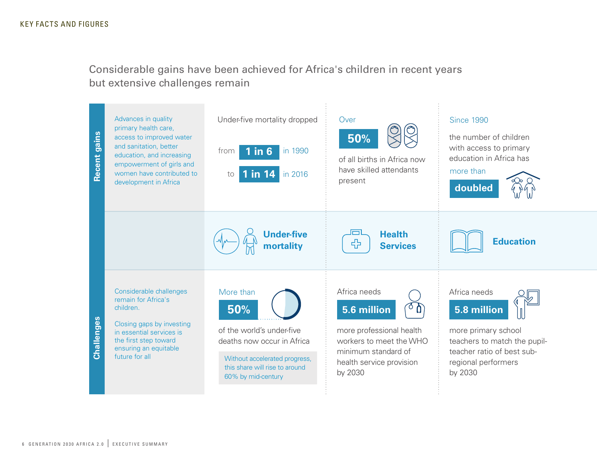Considerable gains have been achieved for Africa's children in recent years but extensive challenges remain

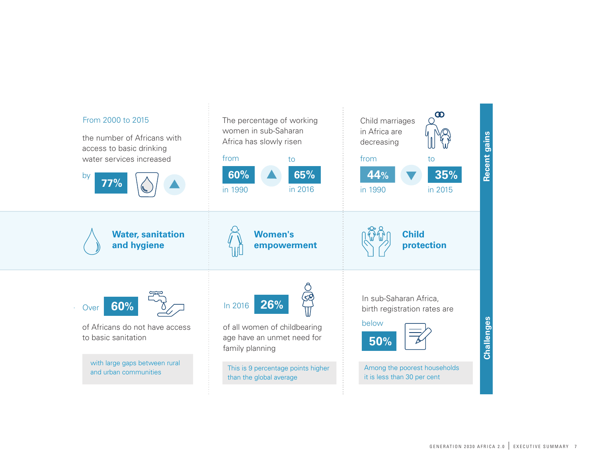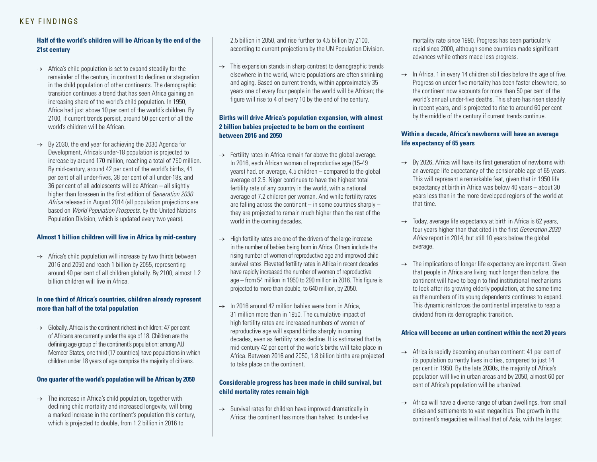#### KEY FINDINGS

#### **Half of the world's children will be African by the end of the 21st century**

- $\rightarrow$  Africa's child population is set to expand steadily for the remainder of the century, in contrast to declines or stagnation in the child population of other continents. The demographic transition continues a trend that has seen Africa gaining an increasing share of the world's child population. In 1950, Africa had just above 10 per cent of the world's children. By 2100, if current trends persist, around 50 per cent of all the world's children will be African.
- $\rightarrow$  By 2030, the end year for achieving the 2030 Agenda for Development, Africa's under-18 population is projected to increase by around 170 million, reaching a total of 750 million. By mid-century, around 42 per cent of the world's births, 41 per cent of all under-fives, 38 per cent of all under-18s, and 36 per cent of all adolescents will be African – all slightly higher than foreseen in the first edition of *Generation 2030 Africa* released in August 2014 (all population projections are based on *World Population Prospects*, by the United Nations Population Division, which is updated every two years).

#### **Almost 1 billion children will live in Africa by mid-century**

→ Africa's child population will increase by two thirds between 2016 and 2050 and reach 1 billion by 2055, representing around 40 per cent of all children globally. By 2100, almost 1.2 billion children will live in Africa.

#### **In one third of Africa's countries, children already represent more than half of the total population**

 $\rightarrow$  Globally, Africa is the continent richest in children: 47 per cent of Africans are currently under the age of 18. Children are the defining age group of the continent's population: among AU Member States, one third (17 countries) have populations in which children under 18 years of age comprise the majority of citizens.

#### **One quarter of the world's population will be African by 2050**

 $\rightarrow$  The increase in Africa's child population, together with declining child mortality and increased longevity, will bring a marked increase in the continent's population this century, which is projected to double, from 1.2 billion in 2016 to

2.5 billion in 2050, and rise further to 4.5 billion by 2100, according to current projections by the UN Population Division.

 $\rightarrow$  This expansion stands in sharp contrast to demographic trends elsewhere in the world, where populations are often shrinking and aging. Based on current trends, within approximately 35 years one of every four people in the world will be African; the figure will rise to 4 of every 10 by the end of the century.

#### **Births will drive Africa's population expansion, with almost 2 billion babies projected to be born on the continent between 2016 and 2050**

- $\rightarrow$  Fertility rates in Africa remain far above the global average. In 2016, each African woman of reproductive age (15-49 years) had, on average, 4.5 children – compared to the global average of 2.5. Niger continues to have the highest total fertility rate of any country in the world, with a national average of 7.2 children per woman. And while fertility rates are falling across the continent  $-$  in some countries sharply  $$ they are projected to remain much higher than the rest of the world in the coming decades.
- $\rightarrow$  High fertility rates are one of the drivers of the large increase in the number of babies being born in Africa. Others include the rising number of women of reproductive age and improved child survival rates. Elevated fertility rates in Africa in recent decades have rapidly increased the number of women of reproductive age – from 54 million in 1950 to 290 million in 2016. This figure is projected to more than double, to 640 million, by 2050.
- $\rightarrow$  In 2016 around 42 million babies were born in Africa. 31 million more than in 1950. The cumulative impact of high fertility rates and increased numbers of women of reproductive age will expand births sharply in coming decades, even as fertility rates decline. It is estimated that by mid-century 42 per cent of the world's births will take place in Africa. Between 2016 and 2050, 1.8 billion births are projected to take place on the continent.

#### **Considerable progress has been made in child survival, but child mortality rates remain high**

 $\rightarrow$  Survival rates for children have improved dramatically in Africa: the continent has more than halved its under-five mortality rate since 1990. Progress has been particularly rapid since 2000, although some countries made significant advances while others made less progress.

 $\rightarrow$  In Africa, 1 in every 14 children still dies before the age of five. Progress on under-five mortality has been faster elsewhere, so the continent now accounts for more than 50 per cent of the world's annual under-five deaths. This share has risen steadily in recent years, and is projected to rise to around 60 per cent by the middle of the century if current trends continue.

#### **Within a decade, Africa's newborns will have an average life expectancy of 65 years**

- $\rightarrow$  By 2026, Africa will have its first generation of newborns with an average life expectancy of the pensionable age of 65 years. This will represent a remarkable feat, given that in 1950 life expectancy at birth in Africa was below 40 years – about 30 years less than in the more developed regions of the world at that time.
- $\rightarrow$  Today, average life expectancy at birth in Africa is 62 years, four years higher than that cited in the first *Generation 2030 Africa* report in 2014, but still 10 years below the global average.
- $\rightarrow$  The implications of longer life expectancy are important. Given that people in Africa are living much longer than before, the continent will have to begin to find institutional mechanisms to look after its growing elderly population, at the same time as the numbers of its young dependents continues to expand. This dynamic reinforces the continental imperative to reap a dividend from its demographic transition.

#### **Africa will become an urban continent within the next 20 years**

- $\rightarrow$  Africa is rapidly becoming an urban continent: 41 per cent of its population currently lives in cities, compared to just 14 per cent in 1950. By the late 2030s, the majority of Africa's population will live in urban areas and by 2050, almost 60 per cent of Africa's population will be urbanized.
- $\rightarrow$  Africa will have a diverse range of urban dwellings, from small cities and settlements to vast megacities. The growth in the continent's megacities will rival that of Asia, with the largest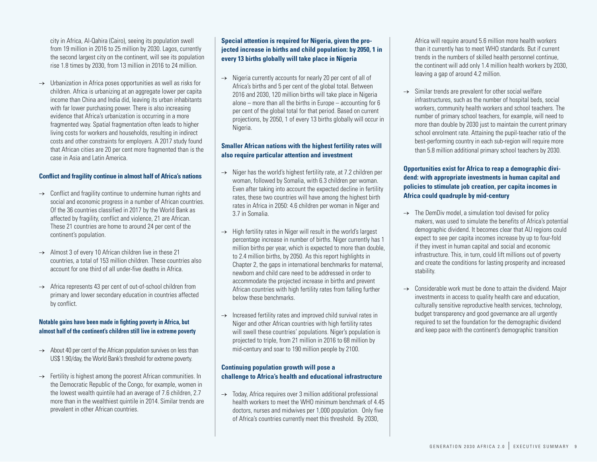city in Africa, Al-Qahira (Cairo), seeing its population swell from 19 million in 2016 to 25 million by 2030. Lagos, currently the second largest city on the continent, will see its population rise 1.8 times by 2030, from 13 million in 2016 to 24 million.

 $\rightarrow$  Urbanization in Africa poses opportunities as well as risks for children. Africa is urbanizing at an aggregate lower per capita income than China and India did, leaving its urban inhabitants with far lower purchasing power. There is also increasing evidence that Africa's urbanization is occurring in a more fragmented way. Spatial fragmentation often leads to higher living costs for workers and households, resulting in indirect costs and other constraints for employers. A 2017 study found that African cities are 20 per cent more fragmented than is the case in Asia and Latin America.

#### **Conflict and fragility continue in almost half of Africa's nations**

- $\rightarrow$  Conflict and fragility continue to undermine human rights and social and economic progress in a number of African countries. Of the 36 countries classified in 2017 by the World Bank as affected by fragility, conflict and violence, 21 are African. These 21 countries are home to around 24 per cent of the continent's population.
- $\rightarrow$  Almost 3 of every 10 African children live in these 21 countries, a total of 153 million children. These countries also account for one third of all under-five deaths in Africa.
- $\rightarrow$  Africa represents 43 per cent of out-of-school children from primary and lower secondary education in countries affected by conflict.

#### **Notable gains have been made in fighting poverty in Africa, but almost half of the continent's children still live in extreme poverty**

- $\rightarrow$  About 40 per cent of the African population survives on less than US\$ 1.90/day, the World Bank's threshold for extreme poverty.
- $\rightarrow$  Fertility is highest among the poorest African communities. In the Democratic Republic of the Congo, for example, women in the lowest wealth quintile had an average of 7.6 children, 2.7 more than in the wealthiest quintile in 2014. Similar trends are prevalent in other African countries.

#### **Special attention is required for Nigeria, given the projected increase in births and child population: by 2050, 1 in every 13 births globally will take place in Nigeria**

 $\rightarrow$  Nigeria currently accounts for nearly 20 per cent of all of Africa's births and 5 per cent of the global total. Between 2016 and 2030, 120 million births will take place in Nigeria alone – more than all the births in Europe – accounting for 6 per cent of the global total for that period. Based on current projections, by 2050, 1 of every 13 births globally will occur in Nigeria.

#### **Smaller African nations with the highest fertility rates will also require particular attention and investment**

- $\rightarrow$  Niger has the world's highest fertility rate, at 7.2 children per woman, followed by Somalia, with 6.3 children per woman. Even after taking into account the expected decline in fertility rates, these two countries will have among the highest birth rates in Africa in 2050: 4.6 children per woman in Niger and 3.7 in Somalia.
- $\rightarrow$  High fertility rates in Niger will result in the world's largest percentage increase in number of births. Niger currently has 1 million births per year, which is expected to more than double, to 2.4 million births, by 2050. As this report highlights in Chapter 2, the gaps in international benchmarks for maternal, newborn and child care need to be addressed in order to accommodate the projected increase in births and prevent African countries with high fertility rates from falling further below these benchmarks.
- $\rightarrow$  Increased fertility rates and improved child survival rates in Niger and other African countries with high fertility rates will swell these countries' populations. Niger's population is projected to triple, from 21 million in 2016 to 68 million by mid-century and soar to 190 million people by 2100.

#### **Continuing population growth will pose a challenge to Africa's health and educational infrastructure**

 $\rightarrow$  Today, Africa requires over 3 million additional professional health workers to meet the WHO minimum benchmark of 4.45 doctors, nurses and midwives per 1,000 population. Only five of Africa's countries currently meet this threshold. By 2030,

Africa will require around 5.6 million more health workers than it currently has to meet WHO standards. But if current trends in the numbers of skilled health personnel continue, the continent will add only 1.4 million health workers by 2030, leaving a gap of around 4.2 million.

 $\rightarrow$  Similar trends are prevalent for other social welfare infrastructures, such as the number of hospital beds, social workers, community health workers and school teachers. The number of primary school teachers, for example, will need to more than double by 2030 just to maintain the current primary school enrolment rate. Attaining the pupil-teacher ratio of the best-performing country in each sub-region will require more than 5.8 million additional primary school teachers by 2030.

#### **Opportunities exist for Africa to reap a demographic dividend: with appropriate investments in human capital and policies to stimulate job creation, per capita incomes in Africa could quadruple by mid-century**

- $\rightarrow$  The DemDiv model, a simulation tool devised for policy makers, was used to simulate the benefits of Africa's potential demographic dividend. It becomes clear that AU regions could expect to see per capita incomes increase by up to four-fold if they invest in human capital and social and economic infrastructure. This, in turn, could lift millions out of poverty and create the conditions for lasting prosperity and increased stability.
- $\rightarrow$  Considerable work must be done to attain the dividend. Major investments in access to quality health care and education, culturally sensitive reproductive health services, technology, budget transparency and good governance are all urgently required to set the foundation for the demographic dividend and keep pace with the continent's demographic transition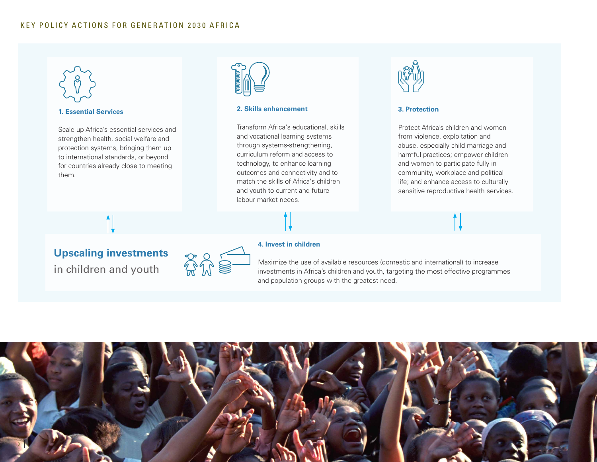

strengthen health, social welfare and protection systems, bringing them up to international standards, or beyond for countries already close to meeting them.



#### **2. Skills enhancement**

Transform Africa's educational, skills and vocational learning systems through systems-strengthening, curriculum reform and access to technology, to enhance learning outcomes and connectivity and to match the skills of Africa's children and youth to current and future labour market needs.



#### **3. Protection**

Protect Africa's children and women from violence, exploitation and abuse, especially child marriage and harmful practices; empower children and women to participate fully in community, workplace and political life; and enhance access to culturally sensitive reproductive health services.

## **Upscaling investments**

in children and youth



#### **4. Invest in children**

Maximize the use of available resources (domestic and international) to increase investments in Africa's children and youth, targeting the most effective programmes and population groups with the greatest need.

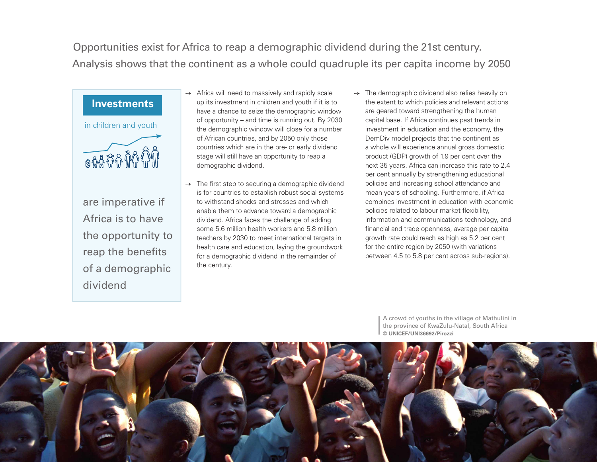Opportunities exist for Africa to reap a demographic dividend during the 21st century. Analysis shows that the continent as a whole could quadruple its per capita income by 2050

## **Investments**

in children and youth



are imperative if Africa is to have the opportunity to reap the benefits of a demographic dividend

- Africa will need to massively and rapidly scale up its investment in children and youth if it is to have a chance to seize the demographic window of opportunity – and time is running out. By 2030 the demographic window will close for a number of African countries, and by 2050 only those countries which are in the pre- or early dividend stage will still have an opportunity to reap a demographic dividend.
- $\rightarrow$  The first step to securing a demographic dividend is for countries to establish robust social systems to withstand shocks and stresses and which enable them to advance toward a demographic dividend. Africa faces the challenge of adding some 5.6 million health workers and 5.8 million teachers by 2030 to meet international targets in health care and education, laying the groundwork for a demographic dividend in the remainder of the century.
- $\rightarrow$  The demographic dividend also relies heavily on the extent to which policies and relevant actions are geared toward strengthening the human capital base. If Africa continues past trends in investment in education and the economy, the DemDiv model projects that the continent as a whole will experience annual gross domestic product (GDP) growth of 1.9 per cent over the next 35 years. Africa can increase this rate to 2.4 per cent annually by strengthening educational policies and increasing school attendance and mean years of schooling. Furthermore, if Africa combines investment in education with economic policies related to labour market flexibility, information and communications technology, and financial and trade openness, average per capita growth rate could reach as high as 5.2 per cent for the entire region by 2050 (with variations between 4.5 to 5.8 per cent across sub-regions).

A crowd of youths in the village of Mathulini in the province of KwaZulu-Natal, South Africa **© UNICEF/UNI36692/Pirozzi**